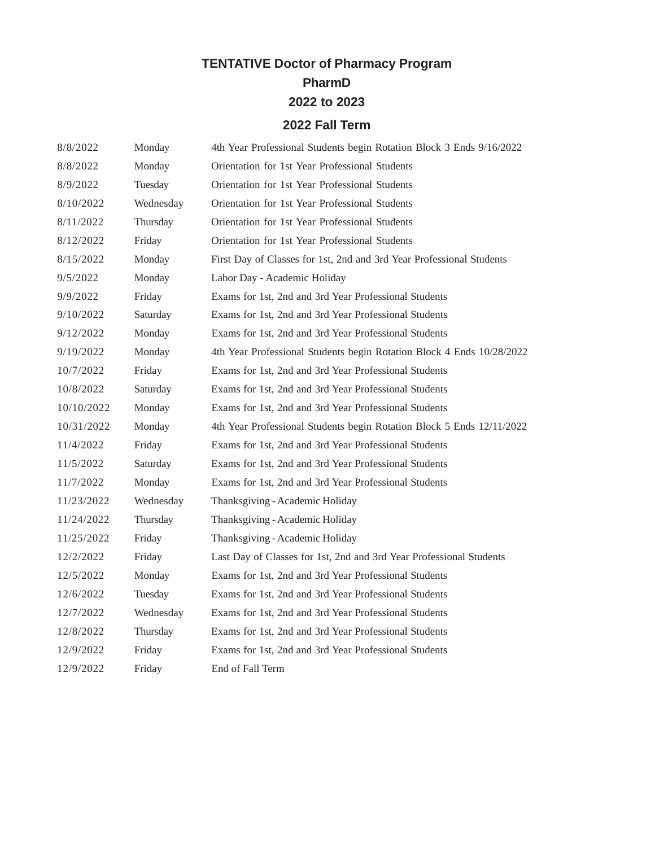## **TENTATIVE Doctor of Pharmacy Program**

**PharmD**

**2022 to 2023**

## **2022 Fall Term**

| 8/8/2022   | Monday    | 4th Year Professional Students begin Rotation Block 3 Ends 9/16/2022  |
|------------|-----------|-----------------------------------------------------------------------|
| 8/8/2022   | Monday    | Orientation for 1st Year Professional Students                        |
| 8/9/2022   | Tuesday   | Orientation for 1st Year Professional Students                        |
| 8/10/2022  | Wednesday | Orientation for 1st Year Professional Students                        |
| 8/11/2022  | Thursday  | Orientation for 1st Year Professional Students                        |
| 8/12/2022  | Friday    | Orientation for 1st Year Professional Students                        |
| 8/15/2022  | Monday    | First Day of Classes for 1st, 2nd and 3rd Year Professional Students  |
| 9/5/2022   | Monday    | Labor Day - Academic Holiday                                          |
| 9/9/2022   | Friday    | Exams for 1st, 2nd and 3rd Year Professional Students                 |
| 9/10/2022  | Saturday  | Exams for 1st, 2nd and 3rd Year Professional Students                 |
| 9/12/2022  | Monday    | Exams for 1st, 2nd and 3rd Year Professional Students                 |
| 9/19/2022  | Monday    | 4th Year Professional Students begin Rotation Block 4 Ends 10/28/2022 |
| 10/7/2022  | Friday    | Exams for 1st, 2nd and 3rd Year Professional Students                 |
| 10/8/2022  | Saturday  | Exams for 1st, 2nd and 3rd Year Professional Students                 |
| 10/10/2022 | Monday    | Exams for 1st, 2nd and 3rd Year Professional Students                 |
| 10/31/2022 | Monday    | 4th Year Professional Students begin Rotation Block 5 Ends 12/11/2022 |
| 11/4/2022  | Friday    | Exams for 1st, 2nd and 3rd Year Professional Students                 |
| 11/5/2022  | Saturday  | Exams for 1st, 2nd and 3rd Year Professional Students                 |
| 11/7/2022  | Monday    | Exams for 1st, 2nd and 3rd Year Professional Students                 |
| 11/23/2022 | Wednesday | Thanksgiving - Academic Holiday                                       |
| 11/24/2022 | Thursday  | Thanksgiving - Academic Holiday                                       |
| 11/25/2022 | Friday    | Thanksgiving - Academic Holiday                                       |
| 12/2/2022  | Friday    | Last Day of Classes for 1st, 2nd and 3rd Year Professional Students   |
| 12/5/2022  | Monday    | Exams for 1st, 2nd and 3rd Year Professional Students                 |
| 12/6/2022  | Tuesday   | Exams for 1st, 2nd and 3rd Year Professional Students                 |
| 12/7/2022  | Wednesday | Exams for 1st, 2nd and 3rd Year Professional Students                 |
| 12/8/2022  | Thursday  | Exams for 1st, 2nd and 3rd Year Professional Students                 |
| 12/9/2022  | Friday    | Exams for 1st, 2nd and 3rd Year Professional Students                 |
| 12/9/2022  | Friday    | End of Fall Term                                                      |